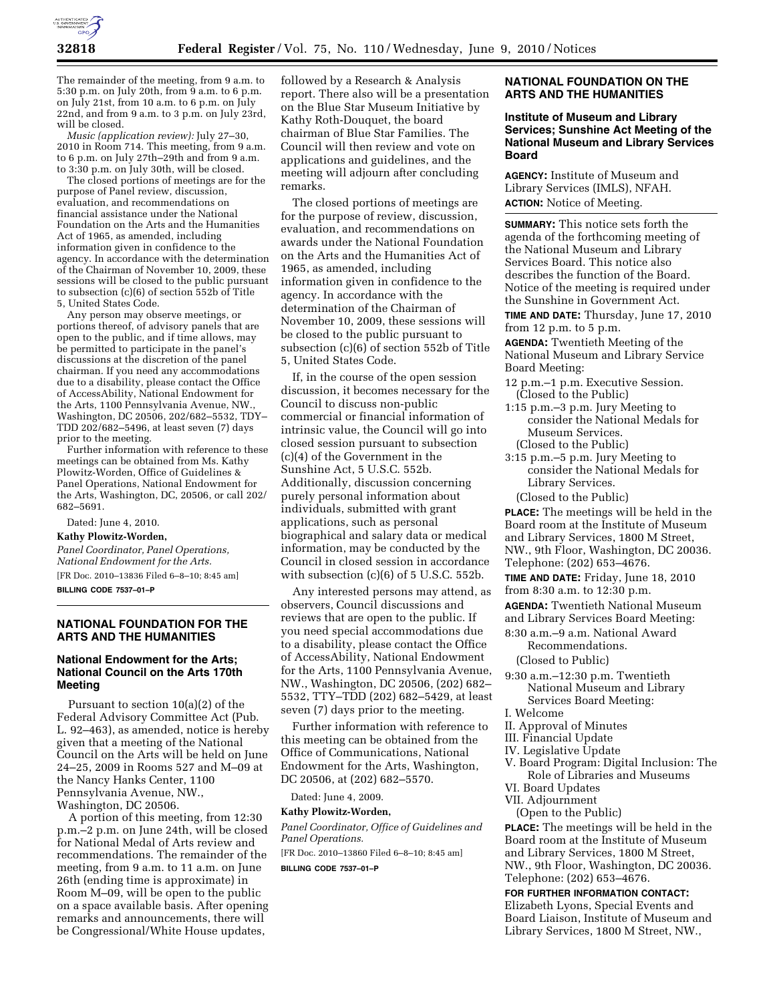

The remainder of the meeting, from 9 a.m. to 5:30 p.m. on July 20th, from 9 a.m. to 6 p.m. on July 21st, from 10 a.m. to 6 p.m. on July 22nd, and from 9 a.m. to 3 p.m. on July 23rd, will be closed.

*Music (application review):* July 27–30, 2010 in Room 714. This meeting, from 9 a.m. to 6 p.m. on July 27th–29th and from 9 a.m. to 3:30 p.m. on July 30th, will be closed.

The closed portions of meetings are for the purpose of Panel review, discussion, evaluation, and recommendations on financial assistance under the National Foundation on the Arts and the Humanities Act of 1965, as amended, including information given in confidence to the agency. In accordance with the determination of the Chairman of November 10, 2009, these sessions will be closed to the public pursuant to subsection (c)(6) of section 552b of Title 5, United States Code.

Any person may observe meetings, or portions thereof, of advisory panels that are open to the public, and if time allows, may be permitted to participate in the panel's discussions at the discretion of the panel chairman. If you need any accommodations due to a disability, please contact the Office of AccessAbility, National Endowment for the Arts, 1100 Pennsylvania Avenue, NW., Washington, DC 20506, 202/682–5532, TDY– TDD 202/682–5496, at least seven (7) days prior to the meeting.

Further information with reference to these meetings can be obtained from Ms. Kathy Plowitz-Worden, Office of Guidelines & Panel Operations, National Endowment for the Arts, Washington, DC, 20506, or call 202/ 682–5691.

Dated: June 4, 2010.

**Kathy Plowitz-Worden,**  *Panel Coordinator, Panel Operations, National Endowment for the Arts.* 

[FR Doc. 2010–13836 Filed 6–8–10; 8:45 am] **BILLING CODE 7537–01–P** 

## **NATIONAL FOUNDATION FOR THE ARTS AND THE HUMANITIES**

# **National Endowment for the Arts; National Council on the Arts 170th Meeting**

Pursuant to section 10(a)(2) of the Federal Advisory Committee Act (Pub. L. 92–463), as amended, notice is hereby given that a meeting of the National Council on the Arts will be held on June 24–25, 2009 in Rooms 527 and M–09 at the Nancy Hanks Center, 1100 Pennsylvania Avenue, NW., Washington, DC 20506.

A portion of this meeting, from 12:30 p.m.–2 p.m. on June 24th, will be closed for National Medal of Arts review and recommendations. The remainder of the meeting, from 9 a.m. to 11 a.m. on June 26th (ending time is approximate) in Room M–09, will be open to the public on a space available basis. After opening remarks and announcements, there will be Congressional/White House updates,

followed by a Research & Analysis report. There also will be a presentation on the Blue Star Museum Initiative by Kathy Roth-Douquet, the board chairman of Blue Star Families. The Council will then review and vote on applications and guidelines, and the meeting will adjourn after concluding remarks.

The closed portions of meetings are for the purpose of review, discussion, evaluation, and recommendations on awards under the National Foundation on the Arts and the Humanities Act of 1965, as amended, including information given in confidence to the agency. In accordance with the determination of the Chairman of November 10, 2009, these sessions will be closed to the public pursuant to subsection (c)(6) of section 552b of Title 5, United States Code.

If, in the course of the open session discussion, it becomes necessary for the Council to discuss non-public commercial or financial information of intrinsic value, the Council will go into closed session pursuant to subsection (c)(4) of the Government in the Sunshine Act, 5 U.S.C. 552b. Additionally, discussion concerning purely personal information about individuals, submitted with grant applications, such as personal biographical and salary data or medical information, may be conducted by the Council in closed session in accordance with subsection (c)(6) of 5 U.S.C. 552b.

Any interested persons may attend, as observers, Council discussions and reviews that are open to the public. If you need special accommodations due to a disability, please contact the Office of AccessAbility, National Endowment for the Arts, 1100 Pennsylvania Avenue, NW., Washington, DC 20506, (202) 682– 5532, TTY–TDD (202) 682–5429, at least seven (7) days prior to the meeting.

Further information with reference to this meeting can be obtained from the Office of Communications, National Endowment for the Arts, Washington, DC 20506, at (202) 682–5570.

Dated: June 4, 2009.

# **Kathy Plowitz-Worden,**

*Panel Coordinator, Office of Guidelines and Panel Operations.* 

[FR Doc. 2010–13860 Filed 6–8–10; 8:45 am]

**BILLING CODE 7537–01–P** 

## **NATIONAL FOUNDATION ON THE ARTS AND THE HUMANITIES**

# **Institute of Museum and Library Services; Sunshine Act Meeting of the National Museum and Library Services Board**

**AGENCY:** Institute of Museum and Library Services (IMLS), NFAH. **ACTION:** Notice of Meeting.

**SUMMARY:** This notice sets forth the agenda of the forthcoming meeting of the National Museum and Library Services Board. This notice also describes the function of the Board. Notice of the meeting is required under the Sunshine in Government Act. **TIME AND DATE:** Thursday, June 17, 2010 from 12 p.m. to 5 p.m.

**AGENDA:** Twentieth Meeting of the National Museum and Library Service Board Meeting:

- 12 p.m.–1 p.m. Executive Session. (Closed to the Public)
- 1:15 p.m.–3 p.m. Jury Meeting to consider the National Medals for Museum Services. (Closed to the Public)
- 3:15 p.m.–5 p.m. Jury Meeting to consider the National Medals for Library Services.

(Closed to the Public)

**PLACE:** The meetings will be held in the Board room at the Institute of Museum and Library Services, 1800 M Street, NW., 9th Floor, Washington, DC 20036. Telephone: (202) 653–4676.

**TIME AND DATE:** Friday, June 18, 2010 from 8:30 a.m. to 12:30 p.m.

**AGENDA:** Twentieth National Museum and Library Services Board Meeting:

8:30 a.m.–9 a.m. National Award Recommendations.

(Closed to Public)

- 9:30 a.m.–12:30 p.m. Twentieth National Museum and Library Services Board Meeting:
- I. Welcome
- II. Approval of Minutes
- III. Financial Update
- IV. Legislative Update
- V. Board Program: Digital Inclusion: The Role of Libraries and Museums
- VI. Board Updates
- VII. Adjournment

(Open to the Public)

**PLACE:** The meetings will be held in the Board room at the Institute of Museum and Library Services, 1800 M Street, NW., 9th Floor, Washington, DC 20036. Telephone: (202) 653–4676.

**FOR FURTHER INFORMATION CONTACT:**  Elizabeth Lyons, Special Events and Board Liaison, Institute of Museum and Library Services, 1800 M Street, NW.,